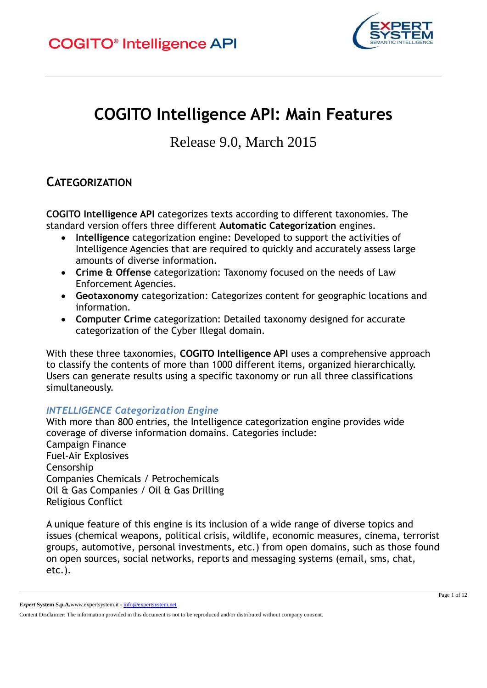

# **COGITO Intelligence API: Main Features**

Release 9.0, March 2015

### **CATEGORIZATION**

**COGITO Intelligence API** categorizes texts according to different taxonomies. The standard version offers three different **Automatic Categorization** engines.

- **Intelligence** categorization engine: Developed to support the activities of Intelligence Agencies that are required to quickly and accurately assess large amounts of diverse information.
- **Crime & Offense** categorization: Taxonomy focused on the needs of Law Enforcement Agencies.
- **Geotaxonomy** categorization: Categorizes content for geographic locations and information.
- **Computer Crime** categorization: Detailed taxonomy designed for accurate categorization of the Cyber Illegal domain.

With these three taxonomies, **COGITO Intelligence API** uses a comprehensive approach to classify the contents of more than 1000 different items, organized hierarchically. Users can generate results using a specific taxonomy or run all three classifications simultaneously.

#### *INTELLIGENCE Categorization Engine*

With more than 800 entries, the Intelligence categorization engine provides wide coverage of diverse information domains. Categories include: Campaign Finance Fuel-Air Explosives Censorship Companies Chemicals / Petrochemicals Oil & Gas Companies / Oil & Gas Drilling Religious Conflict

A unique feature of this engine is its inclusion of a wide range of diverse topics and issues (chemical weapons, political crisis, wildlife, economic measures, cinema, terrorist groups, automotive, personal investments, etc.) from open domains, such as those found on open sources, social networks, reports and messaging systems (email, sms, chat, etc.).

*Expert* **System S.p.A.**www.expertsystem.it - info@expertsystem.net

Content Disclaimer: The information provided in this document is not to be reproduced and/or distributed without company consent.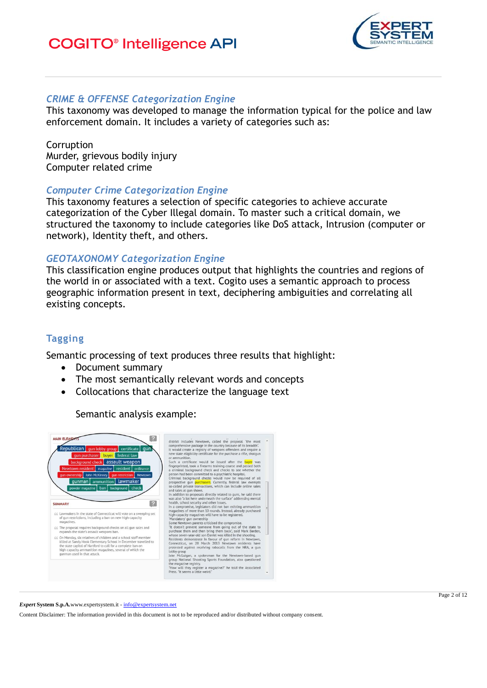### **COGITO<sup>®</sup>** Intelligence API



#### *CRIME & OFFENSE Categorization Engine*

This taxonomy was developed to manage the information typical for the police and law enforcement domain. It includes a variety of categories such as:

Corruption Murder, grievous bodily injury Computer related crime

#### *Computer Crime Categorization Engine*

This taxonomy features a selection of specific categories to achieve accurate categorization of the Cyber Illegal domain. To master such a critical domain, we structured the taxonomy to include categories like DoS attack, Intrusion (computer or network), Identity theft, and others.

#### *GEOTAXONOMY Categorization Engine*

This classification engine produces output that highlights the countries and regions of the world in or associated with a text. Cogito uses a semantic approach to process geographic information present in text, deciphering ambiguities and correlating all existing concepts.

### **Tagging**

Semantic processing of text produces three results that highlight:

- Document summary
- The most semantically relevant words and concepts
- Collocations that characterize the language text

Semantic analysis example:



*Expert* **System S.p.A.**www.expertsystem.it - info@expertsystem.net

Page 2 of 12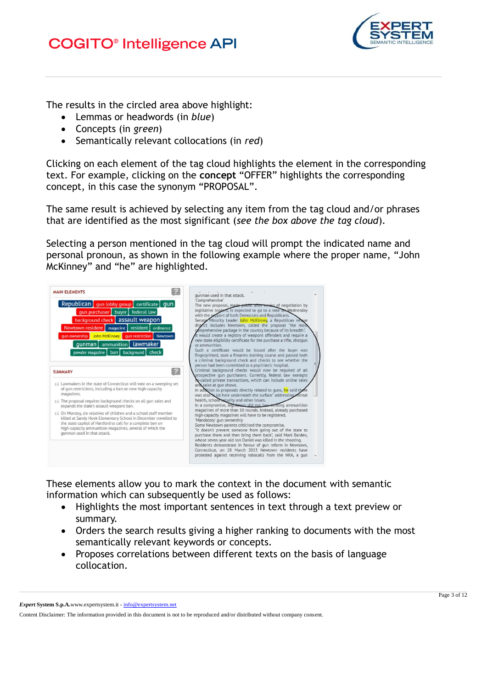

The results in the circled area above highlight:

- Lemmas or headwords (in *blue*)
- Concepts (in *green*)
- Semantically relevant collocations (in *red*)

Clicking on each element of the tag cloud highlights the element in the corresponding text. For example, clicking on the **concept** "OFFER" highlights the corresponding concept, in this case the synonym "PROPOSAL".

The same result is achieved by selecting any item from the tag cloud and/or phrases that are identified as the most significant (*see the box above the tag cloud*).

Selecting a person mentioned in the tag cloud will prompt the indicated name and personal pronoun, as shown in the following example where the proper name, "John McKinney" and "he" are highlighted.

| The new proposal, made public after weeks of negotiation by<br>legislative leaders, is expected to go to a vote on Wednesday<br>with the support of both Democrats and Republicans.<br>Senate Minority Leader John McKinney, a Republican whose<br>district includes Newtown, called the proposal "the most<br>comprehensive package in the country because of its breadth".<br>It would create a registry of weapons offenders and require a<br>new state eligibility certificate for the purchase a rifle, shotgun<br>or ammunition.<br>Such a certificate would be issued after the buyer was<br>fingerprinted, took a firearms training course and passed both<br>a criminal background check and checks to see whether the |
|---------------------------------------------------------------------------------------------------------------------------------------------------------------------------------------------------------------------------------------------------------------------------------------------------------------------------------------------------------------------------------------------------------------------------------------------------------------------------------------------------------------------------------------------------------------------------------------------------------------------------------------------------------------------------------------------------------------------------------|
| person had been committed to a psychiatric hospital.<br>Criminal background checks would now be reguired of all<br>prospective gun purchasers. Currently, federal law exempts                                                                                                                                                                                                                                                                                                                                                                                                                                                                                                                                                   |
| so-called private transactions, which can include online sales<br>and sales at gun shows.<br>In addition to proposals directly related to guns, he said there<br>was also a lot here underneath the surface" addressing mental                                                                                                                                                                                                                                                                                                                                                                                                                                                                                                  |
| health, school security and other issues.<br>In a compromise, legislators did not hap existing ammunition                                                                                                                                                                                                                                                                                                                                                                                                                                                                                                                                                                                                                       |
| magazines of more than 10 rounds. Instead, already purchased<br>high-capacity magazines will have to be registered.<br>'Mandatory' gun ownership<br>Some Newtown parents criticised the compromise.<br>"It doesn't prevent someone from going out of the state to<br>purchase them and then bring them back", said Mark Barden,<br>whose seven-year-old son Daniel was killed in the shooting.<br>Residents demonstrate in favour of gun reform in Newtown,<br>Connecticut, on 28 March 2013 Newtown residents have<br>protested against receiving robocalls from the NRA, a gun                                                                                                                                                |
|                                                                                                                                                                                                                                                                                                                                                                                                                                                                                                                                                                                                                                                                                                                                 |

These elements allow you to mark the context in the document with semantic information which can subsequently be used as follows:

- Highlights the most important sentences in text through a text preview or summary.
- Orders the search results giving a higher ranking to documents with the most semantically relevant keywords or concepts.
- Proposes correlations between different texts on the basis of language collocation.

*Expert* **System S.p.A.**www.expertsystem.it - info@expertsystem.net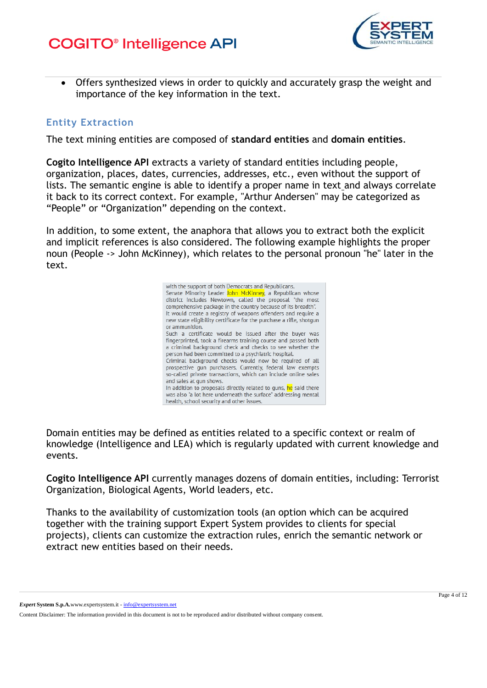

 Offers synthesized views in order to quickly and accurately grasp the weight and importance of the key information in the text.

#### **Entity Extraction**

The text mining entities are composed of **standard entities** and **domain entities**.

**Cogito Intelligence API** extracts a variety of standard entities including people, organization, places, dates, currencies, addresses, etc., even without the support of lists. The semantic engine is able to identify a proper name in text and always correlate it back to its correct context. For example, "Arthur Andersen" may be categorized as "People" or "Organization" depending on the context.

In addition, to some extent, the anaphora that allows you to extract both the explicit and implicit references is also considered. The following example highlights the proper noun (People -> John McKinney), which relates to the personal pronoun "he" later in the text.



Domain entities may be defined as entities related to a specific context or realm of knowledge (Intelligence and LEA) which is regularly updated with current knowledge and events.

**Cogito Intelligence API** currently manages dozens of domain entities, including: Terrorist Organization, Biological Agents, World leaders, etc.

Thanks to the availability of customization tools (an option which can be acquired together with the training support Expert System provides to clients for special projects), clients can customize the extraction rules, enrich the semantic network or extract new entities based on their needs.

*Expert* **System S.p.A.**www.expertsystem.it - info@expertsystem.net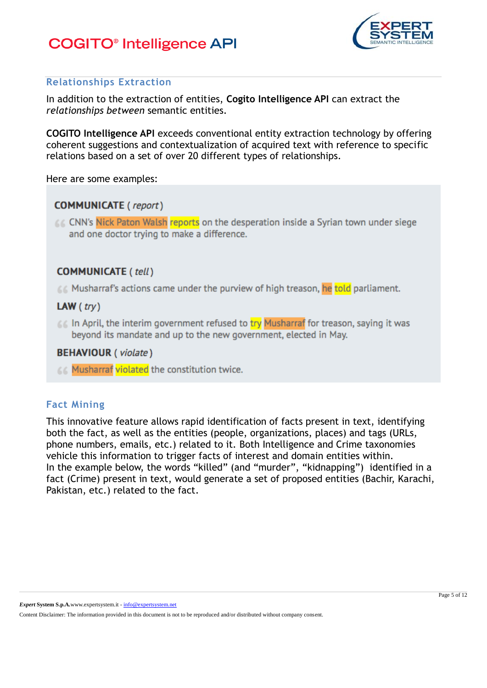![](_page_4_Picture_1.jpeg)

### **Relationships Extraction**

In addition to the extraction of entities, **Cogito Intelligence API** can extract the *relationships between* semantic entities.

**COGITO Intelligence API** exceeds conventional entity extraction technology by offering coherent suggestions and contextualization of acquired text with reference to specific relations based on a set of over 20 different types of relationships.

Here are some examples:

### **COMMUNICATE** (report)

**CC CNN's Nick Paton Walsh reports** on the desperation inside a Syrian town under siege and one doctor trying to make a difference.

### **COMMUNICATE (tell)**

**A. Musharraf's actions came under the purview of high treason, he told parliament.** 

#### LAW  $(try)$

**66 In April, the interim government refused to try Musharraf for treason, saying it was** beyond its mandate and up to the new government, elected in May.

#### **BEHAVIOUR** (violate)

66 Musharraf violated the constitution twice.

### **Fact Mining**

This innovative feature allows rapid identification of facts present in text, identifying both the fact, as well as the entities (people, organizations, places) and tags (URLs, phone numbers, emails, etc.) related to it. Both Intelligence and Crime taxonomies vehicle this information to trigger facts of interest and domain entities within. In the example below, the words "killed" (and "murder", "kidnapping") identified in a fact (Crime) present in text, would generate a set of proposed entities (Bachir, Karachi, Pakistan, etc.) related to the fact.

*Expert* **System S.p.A.**www.expertsystem.it - info@expertsystem.net

Content Disclaimer: The information provided in this document is not to be reproduced and/or distributed without company consent.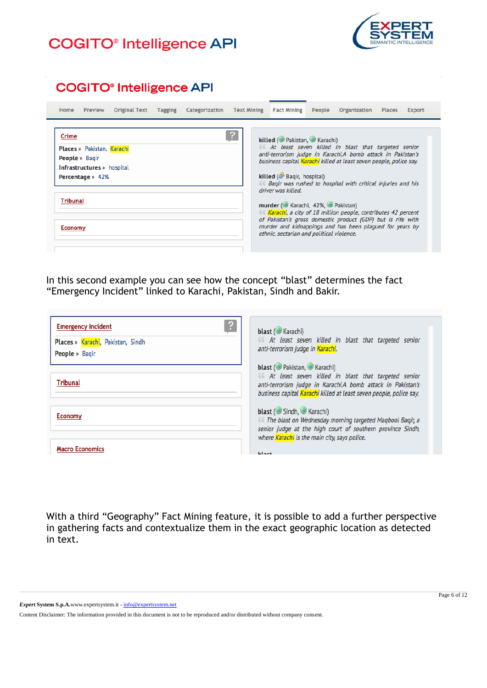![](_page_5_Picture_1.jpeg)

### **COGITO®** Intelligence API

| Preview<br><b>Home</b>                                                                                                                              | <b>Original Text</b> | Tagging | Categorization | <b>Text Mining Fact Mining</b> |                                                                                                                                                                        | People | Organization                                                                                                                                                                                                                                                                                                                                                                                                                                                             | <b>Places</b> | <b>Export</b> |
|-----------------------------------------------------------------------------------------------------------------------------------------------------|----------------------|---------|----------------|--------------------------------|------------------------------------------------------------------------------------------------------------------------------------------------------------------------|--------|--------------------------------------------------------------------------------------------------------------------------------------------------------------------------------------------------------------------------------------------------------------------------------------------------------------------------------------------------------------------------------------------------------------------------------------------------------------------------|---------------|---------------|
| Crime<br>Places » Pakistan, Karachi<br><b>People</b> » Bagir<br><b>Infrastructures</b> » hospital<br>Percentage » 42%<br>Tribunal<br><b>Economy</b> |                      |         |                |                                | killed (CoPakistan, CoRarachi)<br>killed (S Bagir, hospital)<br>driver was killed.<br>murder (C Karachi, 42%, C Pakistan)<br>ethnic, sectarian and political violence. |        | 66 At least seven killed in blast that targeted senior<br>anti-terrorism judge in Karachi.A bomb attack in Pakistan's<br>business capital <mark>Karachi</mark> killed at least seven people, police say.<br>66 Bagir was rushed to hospital with critical injuries and his<br>66 Karachi, a city of 18 million people, contributes 42 percent<br>of Pakistan's gross domestic product (GDP) but is rife with<br>murder and kidnappings and has been plagued for years by |               |               |

In this second example you can see how the concept "blast" determines the fact "Emergency Incident" linked to Karachi, Pakistan, Sindh and Bakir.

| ?<br><b>Emergency Incident</b><br>Places » Karachi, Pakistan, Sindh<br><b>People</b> » Bagir | blast (CKarachi)<br>66 At least seven killed in blast that targeted senior<br>anti-terrorism judge in Karachi.                                                                                                               |
|----------------------------------------------------------------------------------------------|------------------------------------------------------------------------------------------------------------------------------------------------------------------------------------------------------------------------------|
| <b>Tribunal</b>                                                                              | blast (O Pakistan, O Karachi)<br>66 At least seven killed in blast that targeted senior<br>anti-terrorism judge in Karachi.A bomb attack in Pakistan's<br>business capital Karachi killed at least seven people, police say. |
| <b>Economy</b>                                                                               | blast (Sindh, Karachi)<br>66 The blast on Wednesday morning targeted Magbool Bagir, a<br>senior judge at the high court of southern province Sindh,<br>where Karachi is the main city, says police.                          |
| <b>Macro Economics</b>                                                                       | $1.1 - 1.1$                                                                                                                                                                                                                  |

With a third "Geography" Fact Mining feature, it is possible to add a further perspective in gathering facts and contextualize them in the exact geographic location as detected in text.

*Expert* **System S.p.A.**www.expertsystem.it - info@expertsystem.net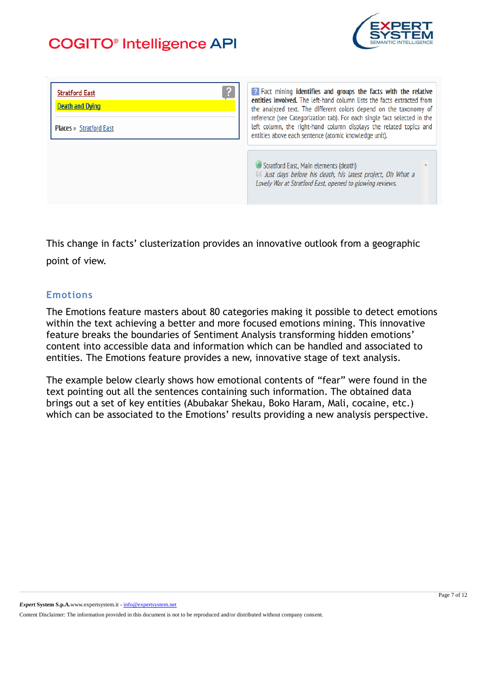![](_page_6_Picture_1.jpeg)

| ?<br><b>Stratford East</b><br><b>Death and Dying</b><br><b>Places</b> » Stratford East | <b>P</b> Fact mining identifies and groups the facts with the relative<br>entities involved. The left-hand column lists the facts extracted from<br>the analyzed text. The different colors depend on the taxonomy of<br>reference (see Categorization tab). For each single fact selected in the<br>left column, the right-hand column displays the related topics and<br>entities above each sentence (atomic knowledge unit). |
|----------------------------------------------------------------------------------------|----------------------------------------------------------------------------------------------------------------------------------------------------------------------------------------------------------------------------------------------------------------------------------------------------------------------------------------------------------------------------------------------------------------------------------|
|                                                                                        | Stratford East, Main elements (death)<br>66 Just days before his death, his latest project, Oh What a<br>Lovely War at Stratford East, opened to glowing reviews.                                                                                                                                                                                                                                                                |

This change in facts' clusterization provides an innovative outlook from a geographic point of view.

### **Emotions**

The Emotions feature masters about 80 categories making it possible to detect emotions within the text achieving a better and more focused emotions mining. This innovative feature breaks the boundaries of Sentiment Analysis transforming hidden emotions' content into accessible data and information which can be handled and associated to entities. The Emotions feature provides a new, innovative stage of text analysis.

The example below clearly shows how emotional contents of "fear" were found in the text pointing out all the sentences containing such information. The obtained data brings out a set of key entities (Abubakar Shekau, Boko Haram, Mali, cocaine, etc.) which can be associated to the Emotions' results providing a new analysis perspective.

*Expert* **System S.p.A.**www.expertsystem.it - info@expertsystem.net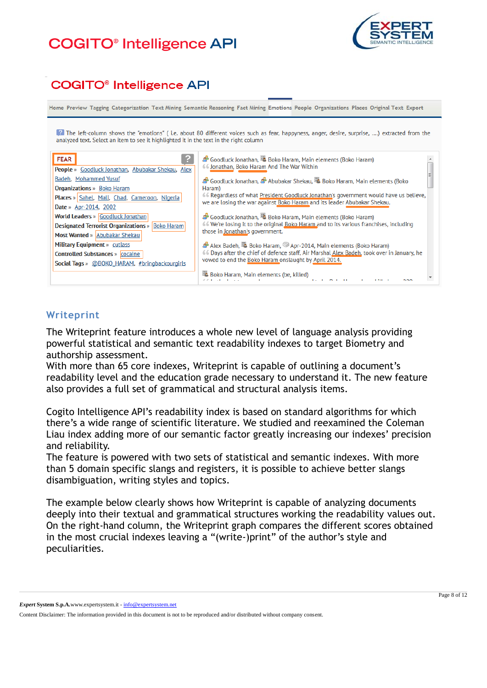## **COGITO<sup>®</sup>** Intelligence API

![](_page_7_Picture_1.jpeg)

### **COGITO<sup>®</sup>** Intelligence API

Home Preview Tagging Categorization Text Mining Semantic Reasoning Fact Mining Emotions People Organizations Places Original Text Export

<sup>2</sup> The left-column shows the "emotions" (i.e. about 80 different voices such as fear, happyness, anger, desire, surprise, ....) extracted from the analyzed text. Select an item to see it highlighted it in the text in the right column

| <b>FEAR</b><br>People » Goodluck Jonathan, Abubakar Shekau, Alex | Goodluck Jonathan, & Boko Haram, Main elements (Boko Haram)<br>66 Jonathan, Boko Haram And The War Within                                                         |
|------------------------------------------------------------------|-------------------------------------------------------------------------------------------------------------------------------------------------------------------|
| Badeh, Mohammed Yusuf                                            | <sup>5</sup> Goodluck Jonathan, <sup>5</sup> Abubakar Shekau, 4 Boko Haram, Main elements (Boko                                                                   |
| <b>Organizations</b> » Boko Haram                                | Haram)                                                                                                                                                            |
| <b>Places</b> » Sahel, Mali, Chad, Cameroon, Nigeria             | 66 Regardless of what President Goodluck Jonathan's government would have us believe,<br>we are losing the war against Boko Haram and its leader Abubakar Shekau. |
| <b>Date</b> » Apr-2014, 2002                                     |                                                                                                                                                                   |
| <b>World Leaders » Goodluck Jonathan</b>                         | 4 Goodluck Jonathan, 4 Boko Haram, Main elements (Boko Haram)                                                                                                     |
| <b>Designated Terrorist Organizations</b> » Boko Haram           | 66 We're losing it to the original Boko Haram and to its various franchises, including                                                                            |
| <b>Most Wanted »</b> Abubakar Shekau                             | those in Jonathan's government.                                                                                                                                   |
| <b>Military Equipment</b> » cutlass                              | Alex Badeh, 4 Boko Haram, 4 Apr-2014, Main elements (Boko Haram)                                                                                                  |
| <b>Controlled Substances » cocaine</b>                           | 66 Days after the chief of defence staff, Air Marshal Alex Badeh, took over in January, he                                                                        |
| Social Tags » @BOKO HARAM, #bringbackourgirls                    | vowed to end the Boko Haram onslaught by April 2014.                                                                                                              |
|                                                                  | <sup>4</sup> Boko Haram, Main elements (be, killed)                                                                                                               |

### **Writeprint**

The Writeprint feature introduces a whole new level of language analysis providing powerful statistical and semantic text readability indexes to target Biometry and authorship assessment.

With more than 65 core indexes, Writeprint is capable of outlining a document's readability level and the education grade necessary to understand it. The new feature also provides a full set of grammatical and structural analysis items.

Cogito Intelligence API's readability index is based on standard algorithms for which there's a wide range of scientific literature. We studied and reexamined the Coleman Liau index adding more of our semantic factor greatly increasing our indexes' precision and reliability.

The feature is powered with two sets of statistical and semantic indexes. With more than 5 domain specific slangs and registers, it is possible to achieve better slangs disambiguation, writing styles and topics.

The example below clearly shows how Writeprint is capable of analyzing documents deeply into their textual and grammatical structures working the readability values out. On the right-hand column, the Writeprint graph compares the different scores obtained in the most crucial indexes leaving a "(write-)print" of the author's style and peculiarities.

*Expert* **System S.p.A.**www.expertsystem.it - info@expertsystem.net

Content Disclaimer: The information provided in this document is not to be reproduced and/or distributed without company consent.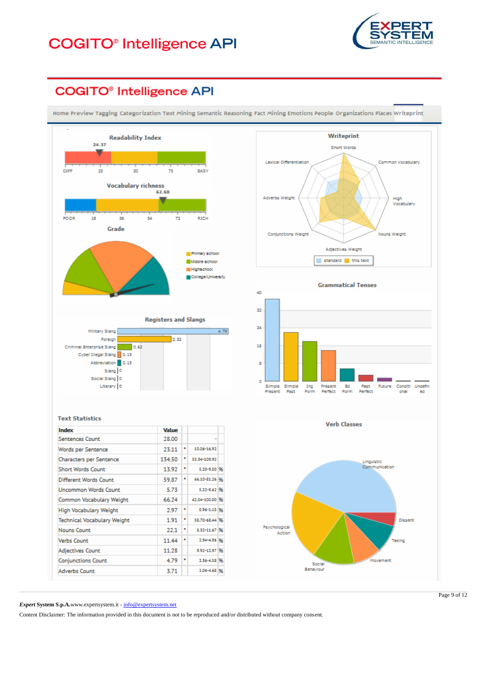![](_page_8_Picture_1.jpeg)

### **COGITO®** Intelligence API

Home Preview Tagging Categorization Text Mining Semantic Reasoning Fact Mining Emotions People Organizations Places Writeprint

![](_page_8_Figure_4.jpeg)

![](_page_8_Figure_5.jpeg)

**Verb Classes** 

![](_page_8_Figure_7.jpeg)

*Expert* **System S.p.A.**www.expertsystem.it - info@expertsystem.net

Content Disclaimer: The information provided in this document is not to be reproduced and/or distributed without company consent.

Page 9 of 12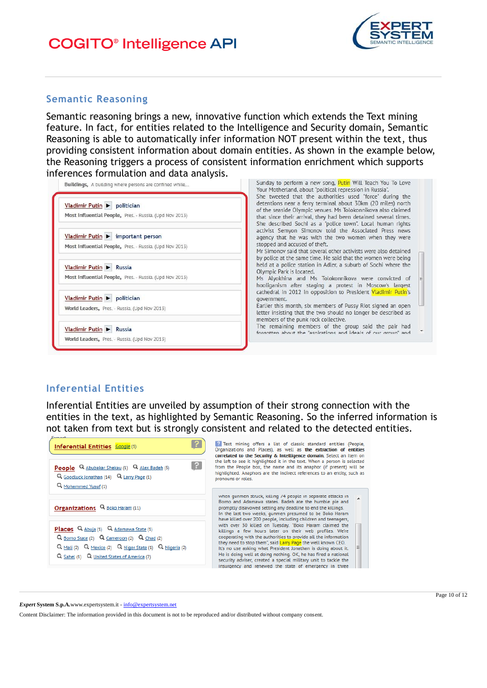![](_page_9_Picture_1.jpeg)

#### **Semantic Reasoning**

Semantic reasoning brings a new, innovative function which extends the Text mining feature. In fact, for entities related to the Intelligence and Security domain, Semantic Reasoning is able to automatically infer information NOT present within the text, thus providing consistent information about domain entities. As shown in the example below, the Reasoning triggers a process of consistent information enrichment which supports inferences formulation and data analysis.

| Buildings, A building where persons are confined while                                       | Sunday to perform a new song, Putin Will Teach You To Love<br>Your Motherland, about "political repression in Russia".<br>She tweeted that the authorities used "force" during the                                                                                            |
|----------------------------------------------------------------------------------------------|-------------------------------------------------------------------------------------------------------------------------------------------------------------------------------------------------------------------------------------------------------------------------------|
| Vladimir Putin > politician<br>Most Influential People, Pres. - Russia. (Upd Nov 2013)       | detentions near a ferry terminal about 30km (20 miles) north<br>of the seaside Olympic venues. Ms Tolokonnikova also claimed<br>that since their arrival, they had been detained several times.<br>She described Sochi as a "police town". Local human rights                 |
| Vladimir Putin > important person<br>Most Influential People, Pres. - Russia. (Upd Nov 2013) | activist Semyon Simonov told the Associated Press news<br>agency that he was with the two women when they were<br>stopped and accused of theft.<br>Mr Simonov said that several other activists were also detained.                                                           |
| Vladimir Putin > Russia<br>Most Influential People, Pres. - Russia. (Upd Nov 2013)           | by police at the same time. He said that the women were being<br>held at a police station in Adler, a suburb of Sochi where the<br>Olympic Park is located.<br>Ms Alyokhina and Ms Tolokonnikova were convicted of<br>hooliganism after staging a protest in Moscow's largest |
| Vladimir Putin > politician<br>World Leaders, Pres. - Russia. (Upd Nov 2013)                 | cathedral in 2012 in opposition to President Vladimir Putin's<br>government.<br>Earlier this month, six members of Pussy Riot signed an open<br>letter insisting that the two should no longer be described as<br>members of the punk rock collective.                        |
| Vladimir Putin > Russia<br>World Leaders, Pres. - Russia. (Upd Nov 2013)                     | The remaining members of the group said the pair had<br>forgotten about the "aspirations and ideals of our group" and                                                                                                                                                         |

#### **Inferential Entities**

Inferential Entities are unveiled by assumption of their strong connection with the entities in the text, as highlighted by Semantic Reasoning. So the inferred information is not taken from text but is strongly consistent and related to the detected entities.

![](_page_9_Picture_7.jpeg)

*Expert* **System S.p.A.**www.expertsystem.it - info@expertsystem.net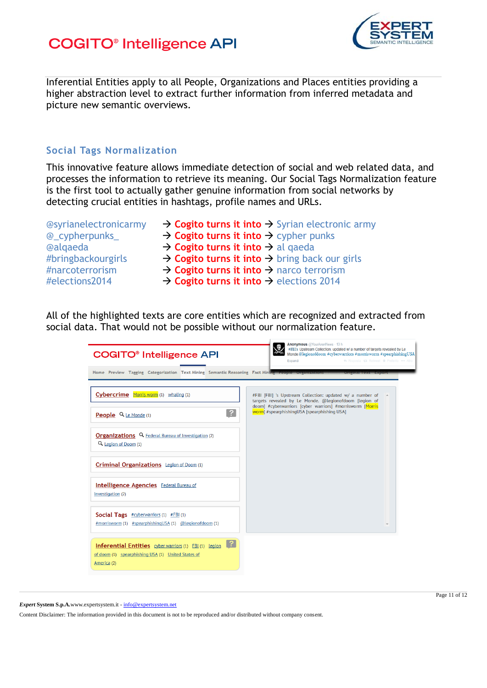![](_page_10_Picture_1.jpeg)

Inferential Entities apply to all People, Organizations and Places entities providing a higher abstraction level to extract further information from inferred metadata and picture new semantic overviews.

### **Social Tags Normalization**

This innovative feature allows immediate detection of social and web related data, and processes the information to retrieve its meaning. Our Social Tags Normalization feature is the first tool to actually gather genuine information from social networks by detecting crucial entities in hashtags, profile names and URLs.

- **@syrianelectronicarmy → Cogito turns it into → Syrian electronic army** @\_cypherpunks\_ **Cogito turns it into** cypher punks **@alqaeda → Cogito turns it into → al qaeda** #bringbackourgirls → Cogito turns it into → bring back our girls #narcoterrorism → Cogito turns it into → narco terrorism
- #elections2014 → Cogito turns it into → elections 2014

All of the highlighted texts are core entities which are recognized and extracted from social data. That would not be possible without our normalization feature.

| <b>COGITO<sup>®</sup></b> Intelligence API                                                                                                        | Anonymous @YourAnonNews - 13 h<br>思<br>#FBI's Upstream Collection: updated w/ a number of targets revealed by Le<br>Monde @legionofdoom #cyberwarriors #morrisworm #spearphishingUSA<br><< Risposta 17 Retweet * Preferito *** Altro<br>Espandi |
|---------------------------------------------------------------------------------------------------------------------------------------------------|-------------------------------------------------------------------------------------------------------------------------------------------------------------------------------------------------------------------------------------------------|
| Home Preview Tagging Categorization Text Mining Semantic Reasoning Fact Mining People Organizations                                               |                                                                                                                                                                                                                                                 |
| Cybercrime Morris worm (1) whaling (1)                                                                                                            | #FBI [FBI] 's Upstream Collection: updated w/ a number of<br>targets revealed by Le Monde. @legionofdoom [legion of                                                                                                                             |
| $\left  \right.$ ?<br><b>People</b> $Q_{\text{Le Monde (1)}}$                                                                                     | doom] #cyberwarriors [cyber warriors] #morrisworm [Morris<br>worm] #spearphishingUSA [spearphishing USA]                                                                                                                                        |
| <b>Organizations</b> Q Federal Bureau of Investigation (2)<br>Q. Legion of Doom (1)                                                               |                                                                                                                                                                                                                                                 |
| Criminal Organizations Legion of Doom (1)                                                                                                         |                                                                                                                                                                                                                                                 |
| <b>Intelligence Agencies</b> Federal Bureau of<br>Investigation (2)                                                                               |                                                                                                                                                                                                                                                 |
| <b>Social Tags</b> $#cy$ betwarriors (1) $#FBI(1)$<br>#morrisworm (1) #spearphishingUSA (1) @legionofdoom (1)                                     |                                                                                                                                                                                                                                                 |
| $\lfloor$ ?<br><b>Inferential Entities</b> cyber warriors (1) FBI (1) Legion<br>of doom (1) spearphishing USA (1) United States of<br>America (2) |                                                                                                                                                                                                                                                 |

*Expert* **System S.p.A.**www.expertsystem.it - info@expertsystem.net